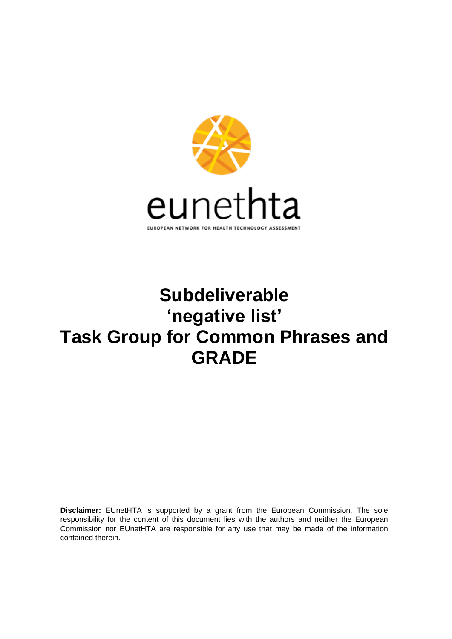

# **Subdeliverable 'negative list' Task Group for Common Phrases and GRADE**

**Disclaimer:** EUnetHTA is supported by a grant from the European Commission. The sole responsibility for the content of this document lies with the authors and neither the European Commission nor EUnetHTA are responsible for any use that may be made of the information contained therein.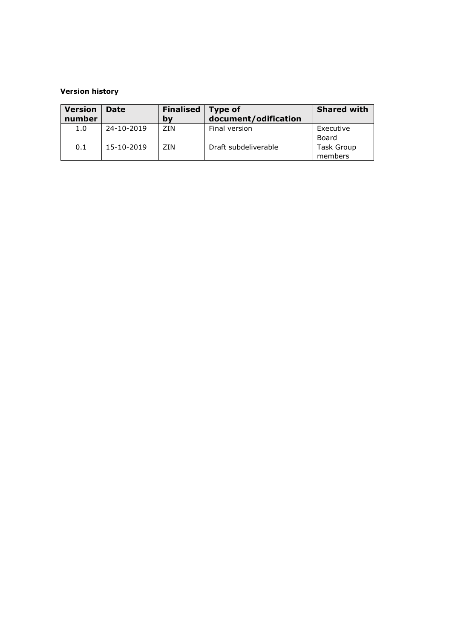# **Version history**

| <b>Version</b><br>number | Date       | <b>Finalised</b><br>bv | <b>Type of</b><br>document/odification | <b>Shared with</b>           |
|--------------------------|------------|------------------------|----------------------------------------|------------------------------|
| 1.0                      | 24-10-2019 | ZIN                    | Final version                          | Executive<br>Board           |
| 0.1                      | 15-10-2019 | 7IN                    | Draft subdeliverable                   | <b>Task Group</b><br>members |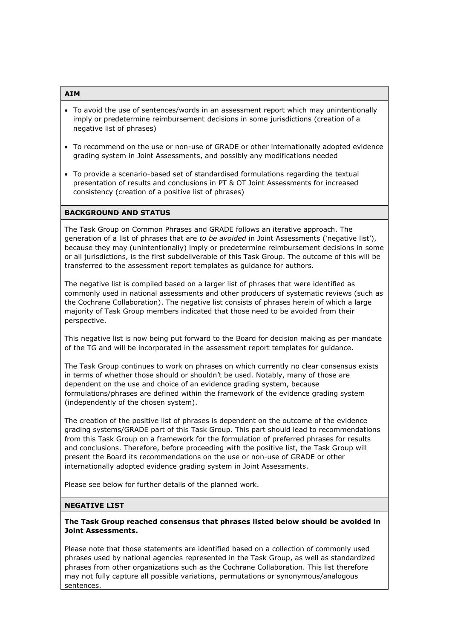#### **AIM**

- To avoid the use of sentences/words in an assessment report which may unintentionally imply or predetermine reimbursement decisions in some jurisdictions (creation of a negative list of phrases)
- To recommend on the use or non-use of GRADE or other internationally adopted evidence grading system in Joint Assessments, and possibly any modifications needed
- To provide a scenario-based set of standardised formulations regarding the textual presentation of results and conclusions in PT & OT Joint Assessments for increased consistency (creation of a positive list of phrases)

## **BACKGROUND AND STATUS**

The Task Group on Common Phrases and GRADE follows an iterative approach. The generation of a list of phrases that are *to be avoided* in Joint Assessments ('negative list'), because they may (unintentionally) imply or predetermine reimbursement decisions in some or all jurisdictions, is the first subdeliverable of this Task Group. The outcome of this will be transferred to the assessment report templates as guidance for authors.

The negative list is compiled based on a larger list of phrases that were identified as commonly used in national assessments and other producers of systematic reviews (such as the Cochrane Collaboration). The negative list consists of phrases herein of which a large majority of Task Group members indicated that those need to be avoided from their perspective.

This negative list is now being put forward to the Board for decision making as per mandate of the TG and will be incorporated in the assessment report templates for guidance.

The Task Group continues to work on phrases on which currently no clear consensus exists in terms of whether those should or shouldn't be used. Notably, many of those are dependent on the use and choice of an evidence grading system, because formulations/phrases are defined within the framework of the evidence grading system (independently of the chosen system).

The creation of the positive list of phrases is dependent on the outcome of the evidence grading systems/GRADE part of this Task Group. This part should lead to recommendations from this Task Group on a framework for the formulation of preferred phrases for results and conclusions. Therefore, before proceeding with the positive list, the Task Group will present the Board its recommendations on the use or non-use of GRADE or other internationally adopted evidence grading system in Joint Assessments.

Please see below for further details of the planned work.

#### **NEGATIVE LIST**

## **The Task Group reached consensus that phrases listed below should be avoided in Joint Assessments.**

Please note that those statements are identified based on a collection of commonly used phrases used by national agencies represented in the Task Group, as well as standardized phrases from other organizations such as the Cochrane Collaboration. This list therefore may not fully capture all possible variations, permutations or synonymous/analogous sentences.